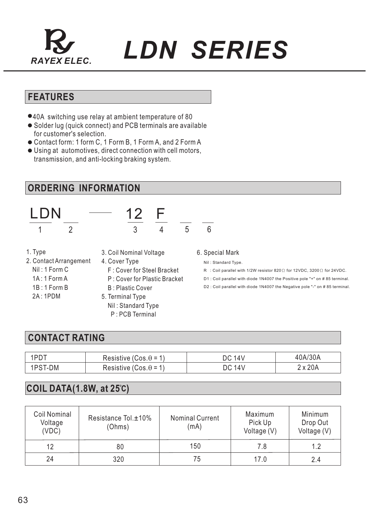

*RAYEX ELEC. LDN SERIES*

## **FEATURES**

- 40A switching use relay at ambient temperature of 80
- Solder lug (quick connect) and PCB terminals are available for customer's selection.
- Contact form: 1 form C, 1 Form B, 1 Form A, and 2 Form A
- Using at automotives, direct connection with cell motors, transmission, and anti-locking braking system.

### **ORDERING INFORMATION**



1 2 3 4 5 6

F

- 1. Type
- 3. Coil Nominal Voltage
- 2. Contact Arrangement
	- Nil : 1 Form C
	- 1A : 1 Form A
	- 1B : 1 Form B
	- 2A : 1PDM
- 4. Cover Type F : Cover for Steel Bracket
	- P : Cover for Plastic Bracket
- B : Plastic Cover 5. Terminal Type
	- Nil : Standard Type P : PCB Terminal
		-

#### 6. Special Mark

Nil : Standard Type.

R  $\,$  : Coil parallel with 1/2W resistor 820 $\Omega$  for 12VDC, 3200 $\Omega$  for 24VDC.

D1 : Coil parallel with diode 1N4007 the Positive pole "+" on # 85 terminal.

D2 : Coil parallel with diode 1N4007 the Negative pole "-" on # 85 terminal.

#### **CONTACT RATING**

| $1PD+$  | Resistive (Cos. $\theta$ = 1) | <b>DC 14V</b> | 0A/30A  |
|---------|-------------------------------|---------------|---------|
| 1PST-DM | Resistive (Cos. $\theta$ = 1) | <b>DC 14V</b> | 2 x 20A |

#### **COIL DATA(1.8W, at 25 C)**

| Coil Nominal<br>Voltage<br>(VDC) | Resistance Tol. <sup>±10</sup> %<br>(Ohms) | <b>Nominal Current</b><br>(mA) | Maximum<br>Pick Up<br>Voltage (V) | Minimum<br>Drop Out<br>Voltage (V) |
|----------------------------------|--------------------------------------------|--------------------------------|-----------------------------------|------------------------------------|
| 12                               | 80                                         | 150                            | 7.8                               | 1.2                                |
| 24                               | 320                                        | 75                             | 17.0                              | 2.4                                |